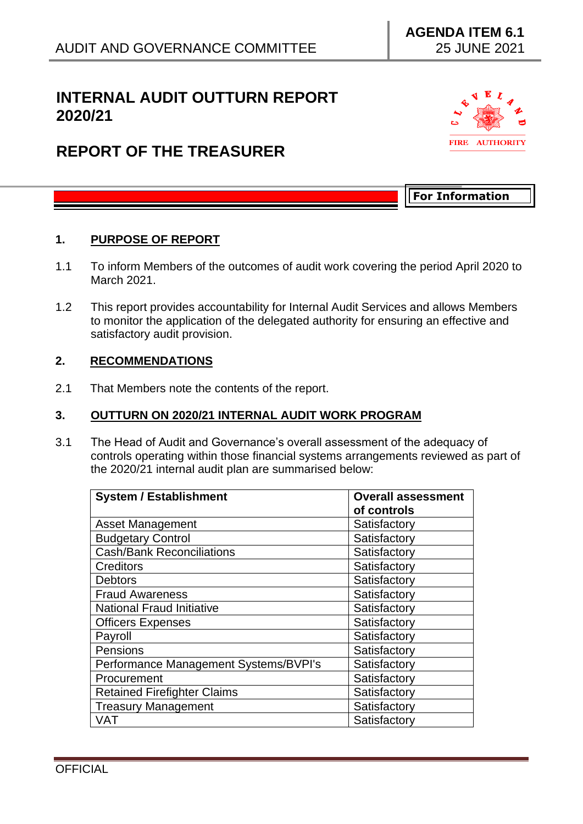# **INTERNAL AUDIT OUTTURN REPORT 2020/21**

# **REPORT OF THE TREASURER**



**For Information**

### **1. PURPOSE OF REPORT**

- 1.1 To inform Members of the outcomes of audit work covering the period April 2020 to March 2021.
- 1.2 This report provides accountability for Internal Audit Services and allows Members to monitor the application of the delegated authority for ensuring an effective and satisfactory audit provision.

#### **2. RECOMMENDATIONS**

2.1 That Members note the contents of the report.

### **3. OUTTURN ON 2020/21 INTERNAL AUDIT WORK PROGRAM**

3.1 The Head of Audit and Governance's overall assessment of the adequacy of controls operating within those financial systems arrangements reviewed as part of the 2020/21 internal audit plan are summarised below:

| <b>System / Establishment</b>         | <b>Overall assessment</b><br>of controls |
|---------------------------------------|------------------------------------------|
| <b>Asset Management</b>               | Satisfactory                             |
| <b>Budgetary Control</b>              | Satisfactory                             |
| <b>Cash/Bank Reconciliations</b>      | Satisfactory                             |
| <b>Creditors</b>                      | Satisfactory                             |
| <b>Debtors</b>                        | Satisfactory                             |
| <b>Fraud Awareness</b>                | Satisfactory                             |
| <b>National Fraud Initiative</b>      | Satisfactory                             |
| <b>Officers Expenses</b>              | Satisfactory                             |
| Payroll                               | Satisfactory                             |
| Pensions                              | Satisfactory                             |
| Performance Management Systems/BVPI's | Satisfactory                             |
| Procurement                           | Satisfactory                             |
| <b>Retained Firefighter Claims</b>    | Satisfactory                             |
| <b>Treasury Management</b>            | Satisfactory                             |
| VAT                                   | Satisfactory                             |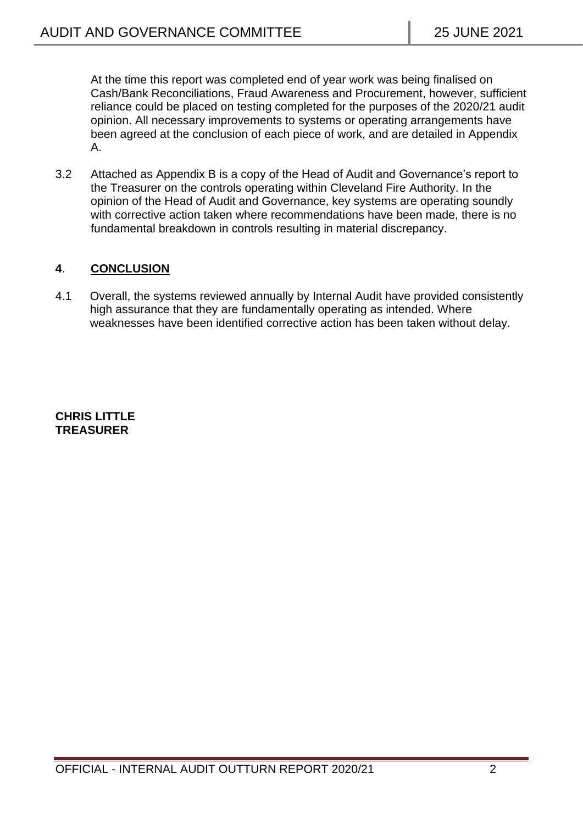At the time this report was completed end of year work was being finalised on Cash/Bank Reconciliations, Fraud Awareness and Procurement, however, sufficient reliance could be placed on testing completed for the purposes of the 2020/21 audit opinion. All necessary improvements to systems or operating arrangements have been agreed at the conclusion of each piece of work, and are detailed in Appendix A.

3.2 Attached as Appendix B is a copy of the Head of Audit and Governance's report to the Treasurer on the controls operating within Cleveland Fire Authority. In the opinion of the Head of Audit and Governance, key systems are operating soundly with corrective action taken where recommendations have been made, there is no fundamental breakdown in controls resulting in material discrepancy.

# **4**. **CONCLUSION**

4.1 Overall, the systems reviewed annually by Internal Audit have provided consistently high assurance that they are fundamentally operating as intended. Where weaknesses have been identified corrective action has been taken without delay.

#### **CHRIS LITTLE TREASURER**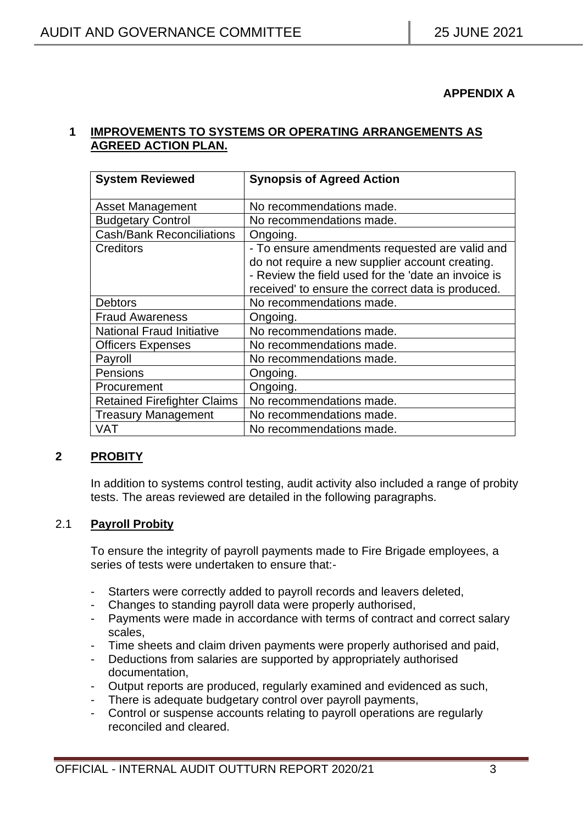### **APPENDIX A**

### **1 IMPROVEMENTS TO SYSTEMS OR OPERATING ARRANGEMENTS AS AGREED ACTION PLAN.**

| <b>System Reviewed</b>             | <b>Synopsis of Agreed Action</b>                    |
|------------------------------------|-----------------------------------------------------|
| <b>Asset Management</b>            | No recommendations made.                            |
| <b>Budgetary Control</b>           | No recommendations made.                            |
| <b>Cash/Bank Reconciliations</b>   | Ongoing.                                            |
| <b>Creditors</b>                   | - To ensure amendments requested are valid and      |
|                                    | do not require a new supplier account creating.     |
|                                    | - Review the field used for the 'date an invoice is |
|                                    | received' to ensure the correct data is produced.   |
| <b>Debtors</b>                     | No recommendations made.                            |
| <b>Fraud Awareness</b>             | Ongoing.                                            |
| <b>National Fraud Initiative</b>   | No recommendations made.                            |
| <b>Officers Expenses</b>           | No recommendations made.                            |
| Payroll                            | No recommendations made.                            |
| Pensions                           | Ongoing.                                            |
| Procurement                        | Ongoing.                                            |
| <b>Retained Firefighter Claims</b> | No recommendations made.                            |
| <b>Treasury Management</b>         | No recommendations made.                            |
| VAT                                | No recommendations made.                            |

# **2 PROBITY**

In addition to systems control testing, audit activity also included a range of probity tests. The areas reviewed are detailed in the following paragraphs.

#### 2.1 **Payroll Probity**

To ensure the integrity of payroll payments made to Fire Brigade employees, a series of tests were undertaken to ensure that:-

- Starters were correctly added to payroll records and leavers deleted,
- Changes to standing payroll data were properly authorised,
- Payments were made in accordance with terms of contract and correct salary scales,
- Time sheets and claim driven payments were properly authorised and paid,
- Deductions from salaries are supported by appropriately authorised documentation,
- Output reports are produced, regularly examined and evidenced as such,
- There is adequate budgetary control over payroll payments,
- Control or suspense accounts relating to payroll operations are regularly reconciled and cleared.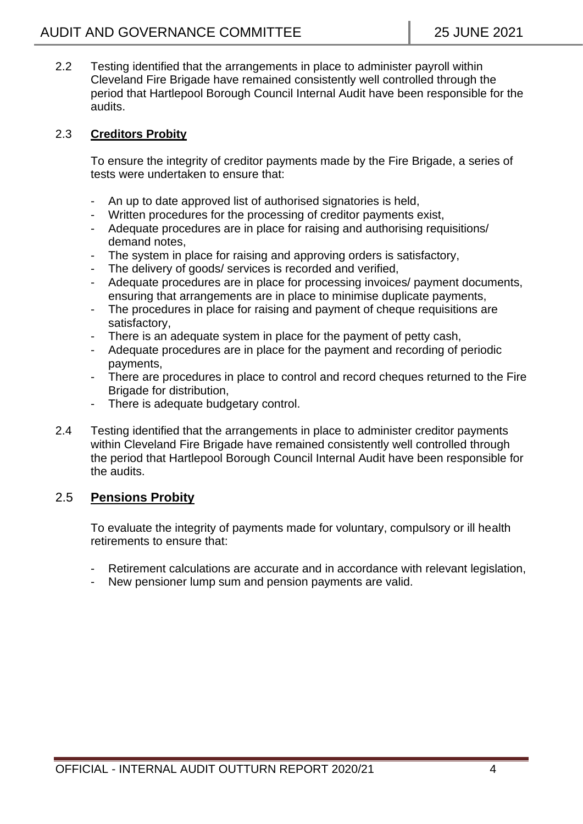2.2 Testing identified that the arrangements in place to administer payroll within Cleveland Fire Brigade have remained consistently well controlled through the period that Hartlepool Borough Council Internal Audit have been responsible for the audits.

## 2.3 **Creditors Probity**

To ensure the integrity of creditor payments made by the Fire Brigade, a series of tests were undertaken to ensure that:

- An up to date approved list of authorised signatories is held,
- Written procedures for the processing of creditor payments exist,
- Adequate procedures are in place for raising and authorising requisitions/ demand notes,
- The system in place for raising and approving orders is satisfactory,
- The delivery of goods/ services is recorded and verified,
- Adequate procedures are in place for processing invoices/ payment documents, ensuring that arrangements are in place to minimise duplicate payments,
- The procedures in place for raising and payment of cheque requisitions are satisfactory,
- There is an adequate system in place for the payment of petty cash,
- Adequate procedures are in place for the payment and recording of periodic payments,
- There are procedures in place to control and record cheques returned to the Fire Brigade for distribution,
- There is adequate budgetary control.
- 2.4 Testing identified that the arrangements in place to administer creditor payments within Cleveland Fire Brigade have remained consistently well controlled through the period that Hartlepool Borough Council Internal Audit have been responsible for the audits.

# 2.5 **Pensions Probity**

To evaluate the integrity of payments made for voluntary, compulsory or ill health retirements to ensure that:

- Retirement calculations are accurate and in accordance with relevant legislation,
- New pensioner lump sum and pension payments are valid.